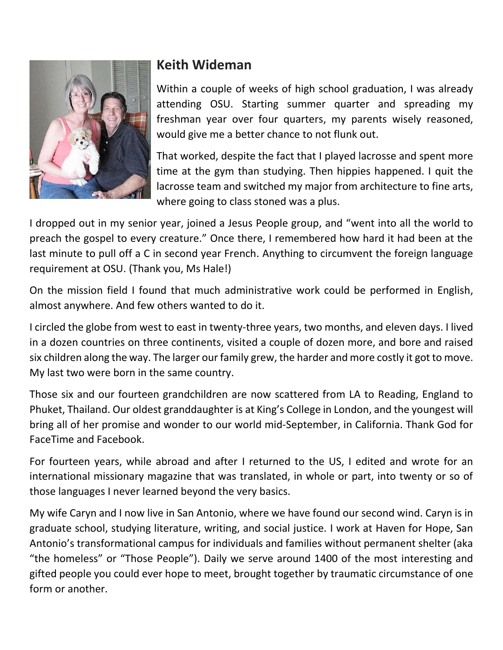

## **Keith Wideman**

Within a couple of weeks of high school graduation, I was already attending OSU. Starting summer quarter and spreading my freshman year over four quarters, my parents wisely reasoned, would give me a better chance to not flunk out.

That worked, despite the fact that I played lacrosse and spent more time at the gym than studying. Then hippies happened. I quit the lacrosse team and switched my major from architecture to fine arts, where going to class stoned was a plus.

I dropped out in my senior year, joined a Jesus People group, and "went into all the world to preach the gospel to every creature." Once there, I remembered how hard it had been at the last minute to pull off a C in second year French. Anything to circumvent the foreign language requirement at OSU. (Thank you, Ms Hale!)

On the mission field I found that much administrative work could be performed in English, almost anywhere. And few others wanted to do it.

I circled the globe from west to east in twenty-three years, two months, and eleven days. I lived in a dozen countries on three continents, visited a couple of dozen more, and bore and raised six children along the way. The larger our family grew, the harder and more costly it got to move. My last two were born in the same country.

Those six and our fourteen grandchildren are now scattered from LA to Reading, England to Phuket, Thailand. Our oldest granddaughter is at King's College in London, and the youngest will bring all of her promise and wonder to our world mid-September, in California. Thank God for FaceTime and Facebook.

For fourteen years, while abroad and after I returned to the US, I edited and wrote for an international missionary magazine that was translated, in whole or part, into twenty or so of those languages I never learned beyond the very basics.

My wife Caryn and I now live in San Antonio, where we have found our second wind. Caryn is in graduate school, studying literature, writing, and social justice. I work at Haven for Hope, San Antonio's transformational campus for individuals and families without permanent shelter (aka "the homeless" or "Those People"). Daily we serve around 1400 of the most interesting and gifted people you could ever hope to meet, brought together by traumatic circumstance of one form or another.